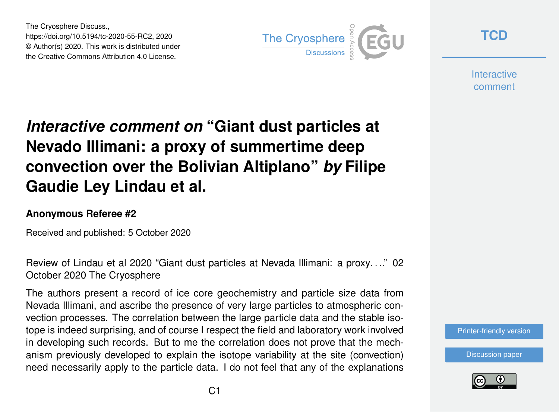The Cryosphere Discuss., https://doi.org/10.5194/tc-2020-55-RC2, 2020 © Author(s) 2020. This work is distributed under the Creative Commons Attribution 4.0 License.



**[TCD](https://tc.copernicus.org/preprints/)**

**Interactive** comment

## *Interactive comment on* **"Giant dust particles at Nevado Illimani: a proxy of summertime deep convection over the Bolivian Altiplano"** *by* **Filipe Gaudie Ley Lindau et al.**

## **Anonymous Referee #2**

Received and published: 5 October 2020

Review of Lindau et al 2020 "Giant dust particles at Nevada Illimani: a proxy. . .." 02 October 2020 The Cryosphere

The authors present a record of ice core geochemistry and particle size data from Nevada Illimani, and ascribe the presence of very large particles to atmospheric convection processes. The correlation between the large particle data and the stable isotope is indeed surprising, and of course I respect the field and laboratory work involved in developing such records. But to me the correlation does not prove that the mechanism previously developed to explain the isotope variability at the site (convection) need necessarily apply to the particle data. I do not feel that any of the explanations



[Discussion paper](https://tc.copernicus.org/preprints/tc-2020-55)

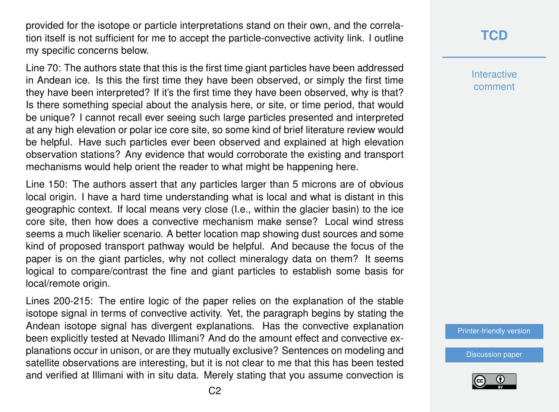provided for the isotope or particle interpretations stand on their own, and the correlation itself is not sufficient for me to accept the particle-convective activity link. I outline my specific concerns below.

Line 70: The authors state that this is the first time giant particles have been addressed in Andean ice. Is this the first time they have been observed, or simply the first time they have been interpreted? If it's the first time they have been observed, why is that? Is there something special about the analysis here, or site, or time period, that would be unique? I cannot recall ever seeing such large particles presented and interpreted at any high elevation or polar ice core site, so some kind of brief literature review would be helpful. Have such particles ever been observed and explained at high elevation observation stations? Any evidence that would corroborate the existing and transport mechanisms would help orient the reader to what might be happening here.

Line 150: The authors assert that any particles larger than 5 microns are of obvious local origin. I have a hard time understanding what is local and what is distant in this geographic context. If local means very close (I.e., within the glacier basin) to the ice core site, then how does a convective mechanism make sense? Local wind stress seems a much likelier scenario. A better location map showing dust sources and some kind of proposed transport pathway would be helpful. And because the focus of the paper is on the giant particles, why not collect mineralogy data on them? It seems logical to compare/contrast the fine and giant particles to establish some basis for local/remote origin.

Lines 200-215: The entire logic of the paper relies on the explanation of the stable isotope signal in terms of convective activity. Yet, the paragraph begins by stating the Andean isotope signal has divergent explanations. Has the convective explanation been explicitly tested at Nevado Illimani? And do the amount effect and convective explanations occur in unison, or are they mutually exclusive? Sentences on modeling and satellite observations are interesting, but it is not clear to me that this has been tested and verified at Illimani with in situ data. Merely stating that you assume convection is **[TCD](https://tc.copernicus.org/preprints/)**

**Interactive** comment

[Printer-friendly version](https://tc.copernicus.org/preprints/tc-2020-55/tc-2020-55-RC2-print.pdf)

[Discussion paper](https://tc.copernicus.org/preprints/tc-2020-55)